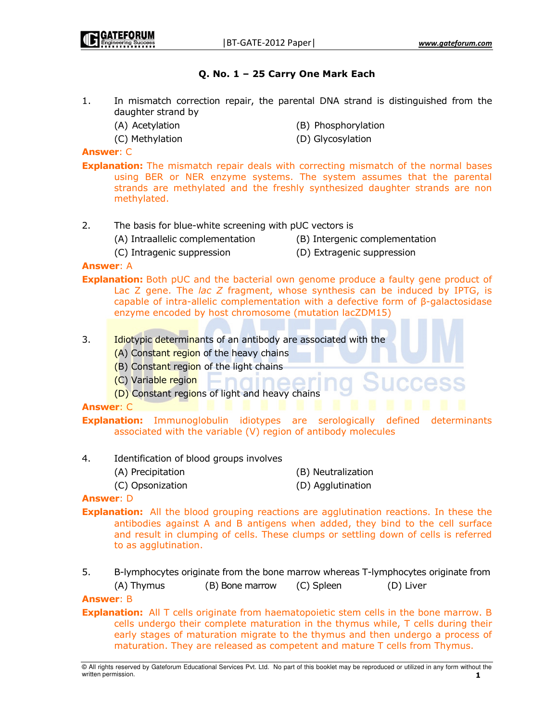# Q. No. 1 – 25 Carry One Mark Each

- 1. In mismatch correction repair, the parental DNA strand is distinguished from the daughter strand by
	-
	-
	- (A) Acetylation (B) Phosphorylation
	- (C) Methylation (D) Glycosylation

## Answer: C

**Explanation:** The mismatch repair deals with correcting mismatch of the normal bases using BER or NER enzyme systems. The system assumes that the parental strands are methylated and the freshly synthesized daughter strands are non methylated.

- 2. The basis for blue-white screening with pUC vectors is
	- (A) Intraallelic complementation (B) Intergenic complementation
	- (C) Intragenic suppression (D) Extragenic suppression
- -
- 

## Answer: A

**Explanation:** Both pUC and the bacterial own genome produce a faulty gene product of Lac Z gene. The *lac Z* fragment, whose synthesis can be induced by IPTG, is capable of intra-allelic complementation with a defective form of β-galactosidase enzyme encoded by host chromosome (mutation lacZDM15)

- 3. Idiotypic determinants of an antibody are associated with the
	- (A) Constant region of the heavy chains
	- (B) Constant region of the light chains
	- (C) Variable region
	- (D) Constant regions of light and heavy chains

#### Answer: C

**Explanation:** Immunoglobulin idiotypes are serologically defined determinants associated with the variable (V) region of antibody molecules

- 4. Identification of blood groups involves
	- (A) Precipitation (B) Neutralization
	- (C) Opsonization (D) Agglutination

## Answer: D

- **Explanation:** All the blood grouping reactions are agglutination reactions. In these the antibodies against A and B antigens when added, they bind to the cell surface and result in clumping of cells. These clumps or settling down of cells is referred to as agglutination.
- 5. B-lymphocytes originate from the bone marrow whereas T-lymphocytes originate from (A) Thymus (B) Bone marrow (C) Spleen (D) Liver

## Answer: B

**Explanation:** All T cells originate from haematopoietic stem cells in the bone marrow. B cells undergo their complete maturation in the thymus while, T cells during their early stages of maturation migrate to the thymus and then undergo a process of maturation. They are released as competent and mature T cells from Thymus.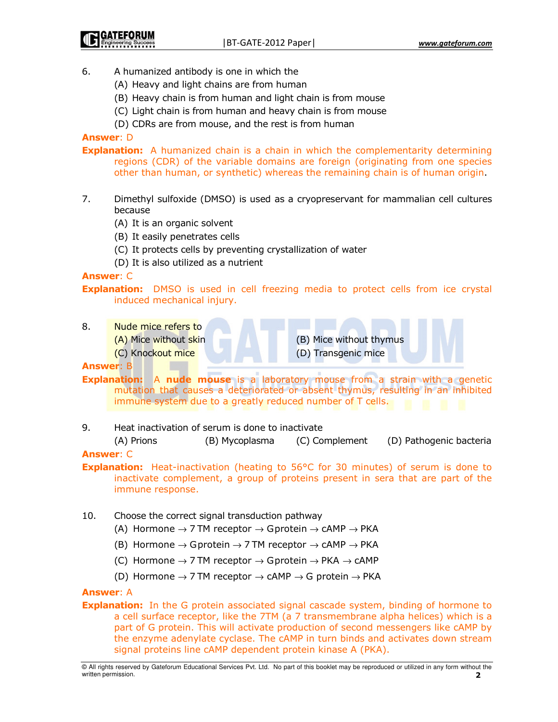- 6. A humanized antibody is one in which the
	- (A) Heavy and light chains are from human
	- (B) Heavy chain is from human and light chain is from mouse
	- (C) Light chain is from human and heavy chain is from mouse
	- (D) CDRs are from mouse, and the rest is from human

#### Answer: D

**Explanation:** A humanized chain is a chain in which the complementarity determining regions (CDR) of the variable domains are foreign (originating from one species other than human, or synthetic) whereas the remaining chain is of human origin.

- 7. Dimethyl sulfoxide (DMSO) is used as a cryopreservant for mammalian cell cultures because
	- (A) It is an organic solvent
	- (B) It easily penetrates cells
	- (C) It protects cells by preventing crystallization of water
	- (D) It is also utilized as a nutrient

#### Answer: C

**Explanation:** DMSO is used in cell freezing media to protect cells from ice crystal induced mechanical injury.

8. Nude mice refers to (A) Mice without skin (B) Mice without thymus (C) Knockout mice (D) Transgenic mice Answer: B

Explanation: A nude mouse is a laboratory mouse from a strain with a genetic mutation that causes a deteriorated or absent thymus, resulting in an inhibited immune system due to a greatly reduced number of T cells.

9. Heat inactivation of serum is done to inactivate

 (A) Prions (B) Mycoplasma (C) Complement (D) Pathogenic bacteria Answer: C

**Explanation:** Heat-inactivation (heating to 56°C for 30 minutes) of serum is done to inactivate complement, a group of proteins present in sera that are part of the immune response.

#### 10. Choose the correct signal transduction pathway

- (A) Hormone  $\rightarrow$  7 TM receptor  $\rightarrow$  Gprotein  $\rightarrow$  cAMP  $\rightarrow$  PKA
- (B) Hormone  $\rightarrow$  Gprotein  $\rightarrow$  7 TM receptor  $\rightarrow$  cAMP  $\rightarrow$  PKA
- (C) Hormone  $\rightarrow$  7 TM receptor  $\rightarrow$  Gprotein  $\rightarrow$  PKA  $\rightarrow$  cAMP
- (D) Hormone  $\rightarrow$  7 TM receptor  $\rightarrow$  cAMP  $\rightarrow$  G protein  $\rightarrow$  PKA

#### Answer: A

**Explanation:** In the G protein associated signal cascade system, binding of hormone to a cell surface receptor, like the 7TM (a 7 transmembrane alpha helices) which is a part of G protein. This will activate production of second messengers like cAMP by the enzyme adenylate cyclase. The cAMP in turn binds and activates down stream signal proteins line cAMP dependent protein kinase A (PKA).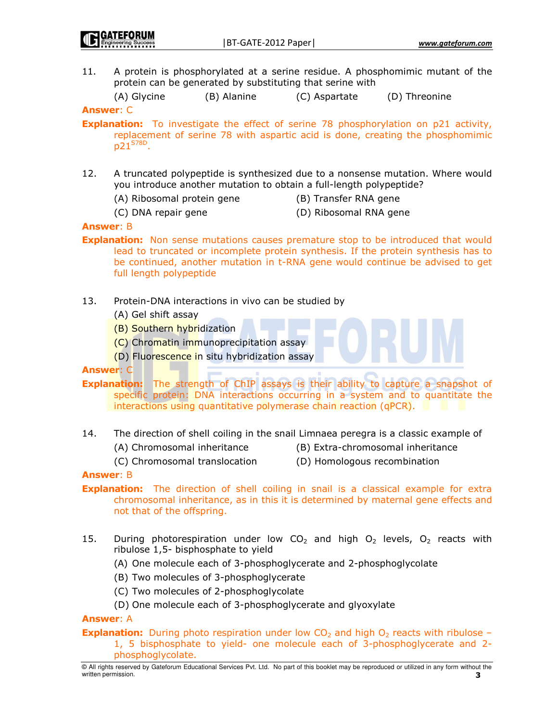11. A protein is phosphorylated at a serine residue. A phosphomimic mutant of the protein can be generated by substituting that serine with

(A) Glycine (B) Alanine (C) Aspartate (D) Threonine

#### Answer: C

- **Explanation:** To investigate the effect of serine 78 phosphorylation on p21 activity, replacement of serine 78 with aspartic acid is done, creating the phosphomimic  $p21^\mathsf{S78D}.$
- 12. A truncated polypeptide is synthesized due to a nonsense mutation. Where would you introduce another mutation to obtain a full-length polypeptide?
	- (A) Ribosomal protein gene (B) Transfer RNA gene
- 

(C) DNA repair gene (D) Ribosomal RNA gene

#### Answer: B

- **Explanation:** Non sense mutations causes premature stop to be introduced that would lead to truncated or incomplete protein synthesis. If the protein synthesis has to be continued, another mutation in t-RNA gene would continue be advised to get full length polypeptide
- 13. Protein-DNA interactions in vivo can be studied by
	- (A) Gel shift assay
	- (B) Southern hybridization
	- (C) Chromatin immunoprecipitation assay
	- (D) Fluorescence in situ hybridization assay

## Answer: C

**Explanation:** The strength of ChIP assays is their ability to capture a snapshot of specific protein: DNA interactions occurring in a system and to quantitate the interactions using quantitative polymerase chain reaction (qPCR).

- 14. The direction of shell coiling in the snail Limnaea peregra is a classic example of
	- (A) Chromosomal inheritance (B) Extra-chromosomal inheritance
	- (C) Chromosomal translocation (D) Homologous recombination

#### Answer: B

- **Explanation:** The direction of shell coiling in snail is a classical example for extra chromosomal inheritance, as in this it is determined by maternal gene effects and not that of the offspring.
- 15. During photorespiration under low  $CO<sub>2</sub>$  and high  $O<sub>2</sub>$  levels,  $O<sub>2</sub>$  reacts with ribulose 1,5- bisphosphate to yield
	- (A) One molecule each of 3-phosphoglycerate and 2-phosphoglycolate
	- (B) Two molecules of 3-phosphoglycerate
	- (C) Two molecules of 2-phosphoglycolate
	- (D) One molecule each of 3-phosphoglycerate and glyoxylate

#### Answer: A

**Explanation:** During photo respiration under low  $CO<sub>2</sub>$  and high  $O<sub>2</sub>$  reacts with ribulose – 1, 5 bisphosphate to yield- one molecule each of 3-phosphoglycerate and 2 phosphoglycolate.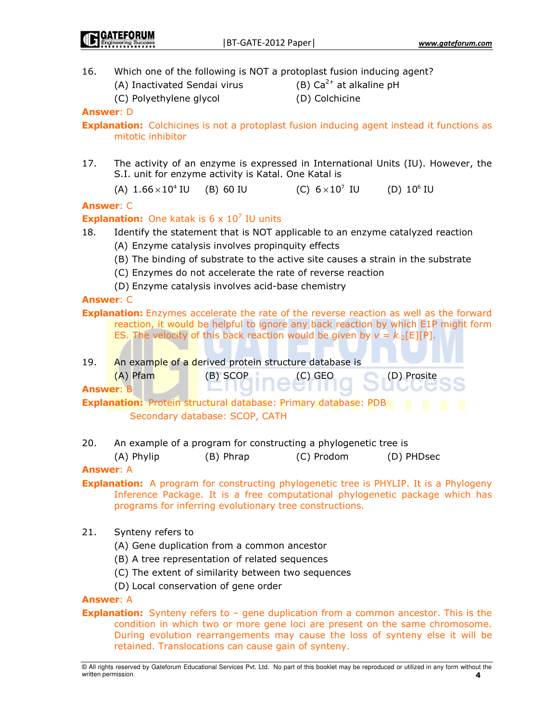| 16. | Which one of the following is NOT a protoplast fusion inducing agent?<br>(B) $Ca^{2+}$ at alkaline pH<br>(A) Inactivated Sendai virus<br>(C) Polyethylene glycol<br>(D) Colchicine |  |  |  |  |  |  |
|-----|------------------------------------------------------------------------------------------------------------------------------------------------------------------------------------|--|--|--|--|--|--|
|     | <b>Answer: D</b>                                                                                                                                                                   |  |  |  |  |  |  |
|     | <b>Explanation:</b> Colchicines is not a protoplast fusion inducing agent instead it functions as<br>mitotic inhibitor                                                             |  |  |  |  |  |  |
| 17. | The activity of an enzyme is expressed in International Units (IU). However, the<br>S.I. unit for enzyme activity is Katal. One Katal is                                           |  |  |  |  |  |  |
|     | (A) $1.66 \times 10^4$ IU (B) 60 IU<br>(C) $6 \times 10^7$ IU<br>(D) $10^6$ IU                                                                                                     |  |  |  |  |  |  |
|     | <b>Answer: C</b>                                                                                                                                                                   |  |  |  |  |  |  |
|     | <b>Explanation:</b> One katak is $6 \times 10^7$ IU units                                                                                                                          |  |  |  |  |  |  |
| 18. | Identify the statement that is NOT applicable to an enzyme catalyzed reaction                                                                                                      |  |  |  |  |  |  |
|     | (A) Enzyme catalysis involves propinquity effects                                                                                                                                  |  |  |  |  |  |  |
|     | (B) The binding of substrate to the active site causes a strain in the substrate                                                                                                   |  |  |  |  |  |  |
|     | (C) Enzymes do not accelerate the rate of reverse reaction                                                                                                                         |  |  |  |  |  |  |
|     | (D) Enzyme catalysis involves acid-base chemistry                                                                                                                                  |  |  |  |  |  |  |
|     | <b>Answer: C</b>                                                                                                                                                                   |  |  |  |  |  |  |
|     | <b>Explanation:</b> Enzymes accelerate the rate of the reverse reaction as well as the forward                                                                                     |  |  |  |  |  |  |
|     | reaction, it would be helpful to ignore any back reaction by which E1P might form                                                                                                  |  |  |  |  |  |  |
|     | ES. The velocity of this back reaction would be given by $v = k_2[E][P]$ .                                                                                                         |  |  |  |  |  |  |
|     |                                                                                                                                                                                    |  |  |  |  |  |  |
| 19. | An example of a derived protein structure database is                                                                                                                              |  |  |  |  |  |  |
|     | $(A)$ Pfam<br>(B) SCOP<br>(D) Prosite<br>$(C)$ GEO                                                                                                                                 |  |  |  |  |  |  |
|     | <b>Answer: B</b>                                                                                                                                                                   |  |  |  |  |  |  |
|     | <b>Explanation:</b> Protein structural database: Primary database: PDB                                                                                                             |  |  |  |  |  |  |
|     | Secondary database: SCOP, CATH                                                                                                                                                     |  |  |  |  |  |  |
|     |                                                                                                                                                                                    |  |  |  |  |  |  |
| 20. | An example of a program for constructing a phylogenetic tree is                                                                                                                    |  |  |  |  |  |  |
|     | (A) Phylip<br>(B) Phrap<br>(C) Prodom<br>(D) PHDsec                                                                                                                                |  |  |  |  |  |  |
|     | <b>Answer: A</b>                                                                                                                                                                   |  |  |  |  |  |  |
|     | <b>Explanation:</b> A program for constructing phylogenetic tree is PHYLIP. It is a Phylogeny<br>Inference Package. It is a free computational phylogenetic package which has      |  |  |  |  |  |  |
|     | programs for inferring evolutionary tree constructions.                                                                                                                            |  |  |  |  |  |  |
|     |                                                                                                                                                                                    |  |  |  |  |  |  |
| 21. | Synteny refers to                                                                                                                                                                  |  |  |  |  |  |  |
|     | (A) Gene duplication from a common ancestor                                                                                                                                        |  |  |  |  |  |  |
|     | (B) A tree representation of related sequences                                                                                                                                     |  |  |  |  |  |  |
|     | (C) The extent of similarity between two sequences                                                                                                                                 |  |  |  |  |  |  |
|     | (D) Local conservation of gene order                                                                                                                                               |  |  |  |  |  |  |
|     | <b>Answer: A</b>                                                                                                                                                                   |  |  |  |  |  |  |
|     | <b>Explanation:</b> Synteny refers to $-$ gene duplication from a common ancestor. This is the                                                                                     |  |  |  |  |  |  |
|     | condition in which two or more gene loci are present on the same chromosome.                                                                                                       |  |  |  |  |  |  |

© All rights reserved by Gateforum Educational Services Pvt. Ltd. No part of this booklet may be reproduced or utilized in any form without the written permission. **4** 

retained. Translocations can cause gain of synteny.

During evolution rearrangements may cause the loss of synteny else it will be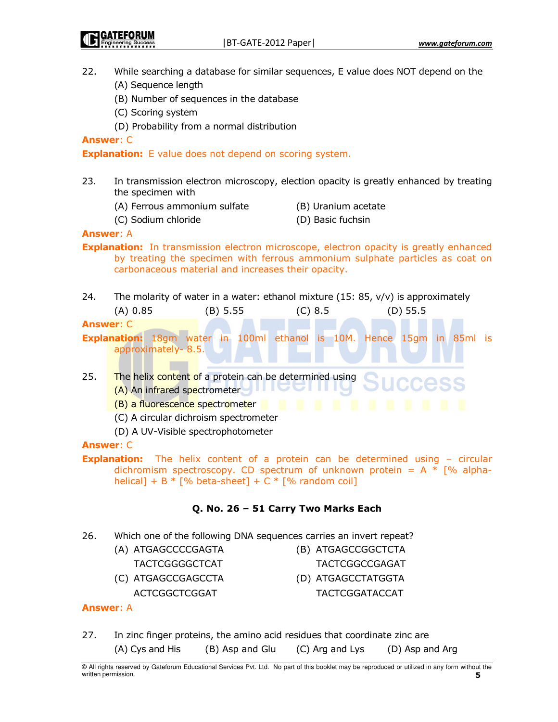- 22. While searching a database for similar sequences, E value does NOT depend on the
	- (A) Sequence length
	- (B) Number of sequences in the database
	- (C) Scoring system
	- (D) Probability from a normal distribution

#### Answer: C

**Explanation:** E value does not depend on scoring system.

- 23. In transmission electron microscopy, election opacity is greatly enhanced by treating the specimen with
	- (A) Ferrous ammonium sulfate (B) Uranium acetate
	-
- 
- (C) Sodium chloride (D) Basic fuchsin
- 

#### Answer: A

- **Explanation:** In transmission electron microscope, electron opacity is greatly enhanced by treating the specimen with ferrous ammonium sulphate particles as coat on carbonaceous material and increases their opacity.
- 24. The molarity of water in a water: ethanol mixture  $(15: 85, v/v)$  is approximately (A) 0.85 (B) 5.55 (C) 8.5 (D) 55.5

Answer: C

Explanation: 18gm water in 100ml ethanol is 10M. Hence 15gm in 85ml is approximately- 8.5.

25. The helix content of a protein can be determined using IUGILI (A) An infrared spectrometer

- (B) a fluorescence spectrometer
- (C) A circular dichroism spectrometer
- (D) A UV-Visible spectrophotometer

#### Answer: C

**Explanation:** The helix content of a protein can be determined using - circular dichromism spectroscopy. CD spectrum of unknown protein =  $A * [%$  alphahelical] + B  $*$  [% beta-sheet] + C  $*$  [% random coil]

# Q. No. 26 – 51 Carry Two Marks Each

- 26. Which one of the following DNA sequences carries an invert repeat?
	- (A) ATGAGCCCCGAGTA (B) ATGAGCCGGCTCTA
		-
- 
- (C) ATGAGCCGAGCCTA (D) ATGAGCCTATGGTA
- TACTCGGGGCTCAT TACTCGGCCGAGAT
	- ACTCGGCTCGGAT TACTCGGATACCAT

## Answer: A

27. In zinc finger proteins, the amino acid residues that coordinate zinc are (A) Cys and His (B) Asp and Glu (C) Arg and Lys (D) Asp and Arg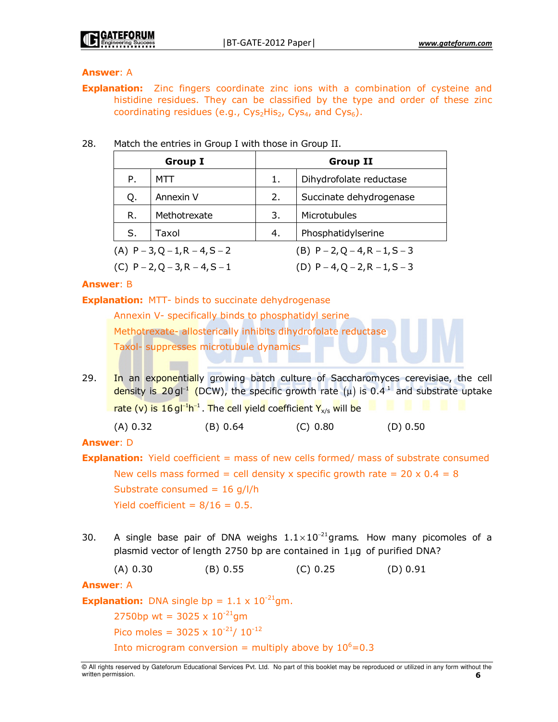#### Answer: A

**Explanation:** Zinc fingers coordinate zinc ions with a combination of cysteine and histidine residues. They can be classified by the type and order of these zinc coordinating residues (e.g.,  $Cys_2His_2$ ,  $Cys_4$ , and  $Cys_6$ ).

#### 28. Match the entries in Group I with those in Group II.

|                                           | <b>Group I</b> |    | <b>Group II</b>                           |
|-------------------------------------------|----------------|----|-------------------------------------------|
| Ρ.                                        | MTT            | 1. | Dihydrofolate reductase                   |
| Q.                                        | Annexin V      | 2. | Succinate dehydrogenase                   |
| R.                                        | Methotrexate   | 3. | Microtubules                              |
| S.                                        | Taxol          | 4. | Phosphatidylserine                        |
| (A) $P - 3$ , Q $- 1$ , R $- 4$ , S $- 2$ |                |    | (B) $P - 2$ , Q – 4, R – 1, S – 3         |
| (C) $P - 2$ , $Q - 3$ , $R - 4$ , $S - 1$ |                |    | (D) $P - 4$ , $Q - 2$ , $R - 1$ , $S - 3$ |

#### Answer: B

# **Explanation:** MTT- binds to succinate dehydrogenase Annexin V- specifically binds to phosphatidyl serine Methotrexate- allosterically inhibits dihydrofolate reductase Taxol- suppresses microtubule dynamics 29. In an exponentially growing batch culture of Saccharomyces cerevisiae, the cell density is 20 gl<sup>-1</sup> (DCW), the specific growth rate  $(\mu)$  is 0.4<sup>1</sup> and substrate uptake rate (v) is 16 gl<sup>-1</sup>h<sup>−1</sup>. The cell yield coefficient  $Y_{x/s}$  will be (A) 0.32 (B) 0.64 (C) 0.80 (D) 0.50 Answer: D **Explanation:** Yield coefficient = mass of new cells formed/ mass of substrate consumed New cells mass formed = cell density x specific growth rate =  $20 \times 0.4 = 8$ Substrate consumed =  $16$  g/l/h Yield coefficient =  $8/16 = 0.5$ . 30. A single base pair of DNA weighs  $1.1 \times 10^{-21}$ grams. How many picomoles of a plasmid vector of length 2750 bp are contained in  $1\mu$ g of purified DNA? (A) 0.30 (B) 0.55 (C) 0.25 (D) 0.91 Answer: A **Explanation:** DNA single bp =  $1.1 \times 10^{-21}$ gm. 2750bp wt =  $3025 \times 10^{-21}$ gm Pico moles =  $3025 \times 10^{-21}$ /  $10^{-12}$ Into microgram conversion = multiply above by  $10^6$ =0.3

<sup>©</sup> All rights reserved by Gateforum Educational Services Pvt. Ltd. No part of this booklet may be reproduced or utilized in any form without the written permission.  $\blacksquare$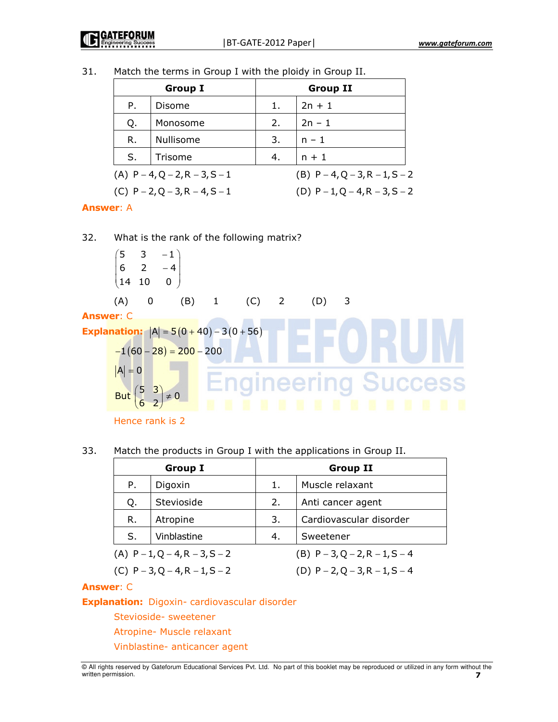31. Match the terms in Group I with the ploidy in Group II.

|                                   |                                           | <b>Group I</b> |    | <b>Group II</b>                           |
|-----------------------------------|-------------------------------------------|----------------|----|-------------------------------------------|
|                                   | Ρ.                                        | Disome         | 1. | $2n + 1$                                  |
|                                   | Q.                                        | Monosome       | 2. | $2n - 1$                                  |
|                                   | R.                                        | Nullisome      | 3. | $n - 1$                                   |
|                                   | S.                                        | Trisome        | 4. | $n + 1$                                   |
|                                   | (A) $P - 4$ , Q $- 2$ , R $- 3$ , S $- 1$ |                |    | (B) $P - 4$ , Q $- 3$ , R $- 1$ , S $- 2$ |
| (C) $P - 2$ , Q – 3, R – 4, S – 1 |                                           |                |    | (D) $P - 1$ , $Q - 4$ , $R - 3$ , $S - 2$ |

#### Answer: A

32. What is the rank of the following matrix?

$$
\begin{pmatrix}\n5 & 3 & -1 \\
6 & 2 & -4 \\
14 & 10 & 0\n\end{pmatrix}
$$
\n(A) 0 (B) 1 (C) 2 (D) 3  
\nAnswer: C  
\nExplanation:  $|A| = 5(0+40)-3(0+56)$   
\n $-1(60-28) = 200-200$   
\n $|A| = 0$   
\nBut  $\begin{pmatrix} 5 & 3 \\ 6 & 2 \end{pmatrix} \neq 0$ 

Hence rank is 2

#### 33. Match the products in Group I with the applications in Group II.

|                                   | <b>Group I</b>                    |    | <b>Group II</b>                   |
|-----------------------------------|-----------------------------------|----|-----------------------------------|
| Ρ.                                | Digoxin                           | 1. | Muscle relaxant                   |
| Q.                                | Stevioside                        | 2. | Anti cancer agent                 |
| R.                                | Atropine                          | 3. | Cardiovascular disorder           |
| S.                                | Vinblastine                       | 4. | Sweetener                         |
| (A) $P - 1$ , Q – 4, R – 3, S – 2 |                                   |    | $(B)$ P – 3, Q – 2, R – 1, S – 4  |
|                                   | (C) $P - 3$ , Q – 4, R – 1, S – 2 |    | (D) $P - 2$ , Q – 3, R – 1, S – 4 |

Answer: C

Explanation: Digoxin- cardiovascular disorder

Stevioside- sweetener

Atropine- Muscle relaxant

Vinblastine- anticancer agent

<sup>©</sup> All rights reserved by Gateforum Educational Services Pvt. Ltd. No part of this booklet may be reproduced or utilized in any form without the written permission.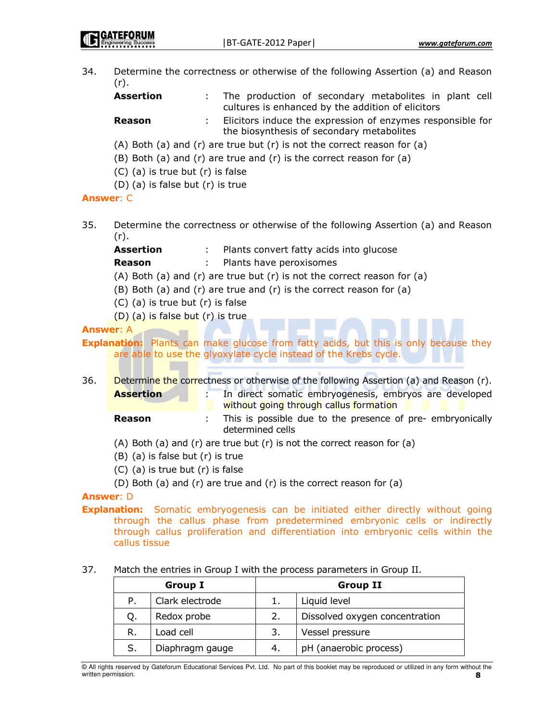**GATEFORUM** 

| 34.              | (r).                                                                                                                                                                     |                                                                                   |  |                         |                                           | Determine the correctness or otherwise of the following Assertion (a) and Reason                           |  |
|------------------|--------------------------------------------------------------------------------------------------------------------------------------------------------------------------|-----------------------------------------------------------------------------------|--|-------------------------|-------------------------------------------|------------------------------------------------------------------------------------------------------------|--|
|                  | <b>Assertion</b>                                                                                                                                                         |                                                                                   |  |                         |                                           | The production of secondary metabolites in plant cell<br>cultures is enhanced by the addition of elicitors |  |
|                  | Reason                                                                                                                                                                   | ÷                                                                                 |  |                         | the biosynthesis of secondary metabolites | Elicitors induce the expression of enzymes responsible for                                                 |  |
|                  |                                                                                                                                                                          |                                                                                   |  |                         |                                           | (A) Both (a) and (r) are true but (r) is not the correct reason for (a)                                    |  |
|                  | $(B)$ Both (a) and (r) are true and (r) is the correct reason for (a)                                                                                                    |                                                                                   |  |                         |                                           |                                                                                                            |  |
|                  |                                                                                                                                                                          | $(C)$ (a) is true but $(r)$ is false                                              |  |                         |                                           |                                                                                                            |  |
|                  |                                                                                                                                                                          | (D) (a) is false but (r) is true                                                  |  |                         |                                           |                                                                                                            |  |
| <b>Answer: C</b> |                                                                                                                                                                          |                                                                                   |  |                         |                                           |                                                                                                            |  |
| 35.              | (r).                                                                                                                                                                     |                                                                                   |  |                         |                                           | Determine the correctness or otherwise of the following Assertion (a) and Reason                           |  |
|                  | <b>Assertion</b>                                                                                                                                                         | ÷.                                                                                |  |                         | Plants convert fatty acids into glucose   |                                                                                                            |  |
|                  | Reason                                                                                                                                                                   | ÷.                                                                                |  | Plants have peroxisomes |                                           |                                                                                                            |  |
|                  |                                                                                                                                                                          |                                                                                   |  |                         |                                           | (A) Both (a) and (r) are true but (r) is not the correct reason for (a)                                    |  |
|                  |                                                                                                                                                                          | (B) Both (a) and (r) are true and (r) is the correct reason for (a)               |  |                         |                                           |                                                                                                            |  |
|                  |                                                                                                                                                                          | $(C)$ (a) is true but $(r)$ is false                                              |  |                         |                                           |                                                                                                            |  |
|                  |                                                                                                                                                                          | (D) (a) is false but (r) is true                                                  |  |                         |                                           |                                                                                                            |  |
| <b>Answer: A</b> |                                                                                                                                                                          |                                                                                   |  |                         |                                           |                                                                                                            |  |
|                  |                                                                                                                                                                          | are able to use the glyoxylate cycle instead of the Krebs cycle.                  |  |                         |                                           | <b>Explanation:</b> Plants can make glucose from fatty acids, but this is only because they                |  |
| 36.              |                                                                                                                                                                          |                                                                                   |  |                         |                                           | Determine the correctness or otherwise of the following Assertion (a) and Reason (r).                      |  |
|                  | <b>Assertion</b>                                                                                                                                                         |                                                                                   |  |                         | without going through callus formation    | In direct somatic embryogenesis, embryos are developed                                                     |  |
|                  | Reason                                                                                                                                                                   |                                                                                   |  | determined cells        |                                           | This is possible due to the presence of pre- embryonically                                                 |  |
|                  |                                                                                                                                                                          | $(A)$ Both $(a)$ and $(r)$ are true but $(r)$ is not the correct reason for $(a)$ |  |                         |                                           |                                                                                                            |  |
|                  |                                                                                                                                                                          | (B) (a) is false but (r) is true                                                  |  |                         |                                           |                                                                                                            |  |
|                  | (C) (a) is true but (r) is false                                                                                                                                         |                                                                                   |  |                         |                                           |                                                                                                            |  |
|                  | (D) Both (a) and (r) are true and (r) is the correct reason for (a)                                                                                                      |                                                                                   |  |                         |                                           |                                                                                                            |  |
|                  | <b>Answer: D</b>                                                                                                                                                         |                                                                                   |  |                         |                                           |                                                                                                            |  |
|                  | <b>Explanation:</b><br>Somatic embryogenesis can be initiated either directly without going<br>through the callus phase from predetermined embryonic cells or indirectly |                                                                                   |  |                         |                                           |                                                                                                            |  |
|                  | through callus proliferation and differentiation into embryonic cells within the                                                                                         |                                                                                   |  |                         |                                           |                                                                                                            |  |
|                  | callus tissue                                                                                                                                                            |                                                                                   |  |                         |                                           |                                                                                                            |  |
|                  |                                                                                                                                                                          |                                                                                   |  |                         |                                           |                                                                                                            |  |
| 37.              |                                                                                                                                                                          | Match the entries in Group I with the process parameters in Group II.             |  |                         |                                           |                                                                                                            |  |
|                  |                                                                                                                                                                          | <b>Group I</b>                                                                    |  |                         |                                           | <b>Group II</b>                                                                                            |  |
|                  | Ρ.                                                                                                                                                                       | Clark electrode                                                                   |  | 1.                      | Liquid level                              |                                                                                                            |  |

Q. Redox probe  $\begin{vmatrix} 2. \end{vmatrix}$  Dissolved oxygen concentration

R. | Load cell | 3. | Vessel pressure

S.  $\vert$  Diaphragm gauge  $\vert$  4.  $\vert$  pH (anaerobic process)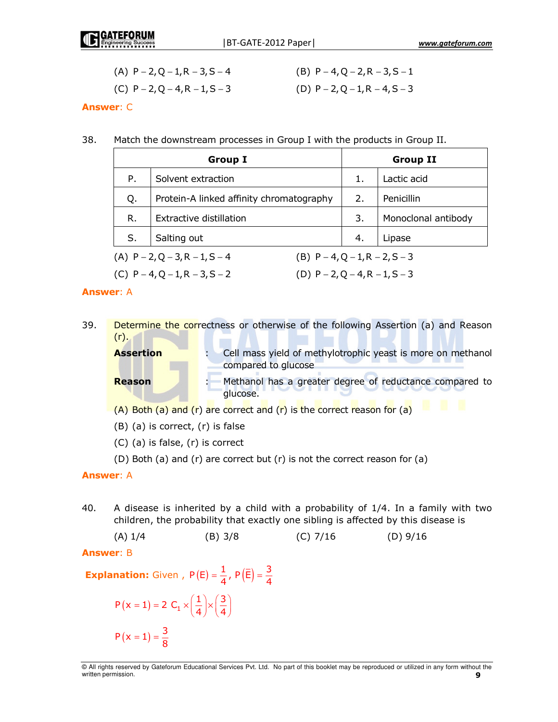| (A) $P - 2$ , $Q - 1$ , $R - 3$ , $S - 4$ |  |  |
|-------------------------------------------|--|--|
|-------------------------------------------|--|--|

(C)  $P - 2$ ,  $Q - 4$ ,  $R - 1$ ,  $S - 3$  (D)  $P - 2$ ,  $Q - 1$ ,

(A) 
$$
P - 2
$$
,  $Q - 1$ ,  $R - 3$ ,  $S - 4$   
(B)  $P - 4$ ,  $Q - 2$ ,  $R - 3$ ,  $S - 1$   
(C)  $P - 2$ ,  $Q - 4$ ,  $R - 1$ ,  $S - 3$   
(D)  $P - 2$ ,  $Q - 1$ ,  $R - 4$ ,  $S - 3$ 

#### Answer: C

38. Match the downstream processes in Group I with the products in Group II.

|    | <b>Group I</b>                            |  | <b>Group II</b>                           |                     |
|----|-------------------------------------------|--|-------------------------------------------|---------------------|
| Ρ. | Solvent extraction                        |  | 1.                                        | Lactic acid         |
| Q. | Protein-A linked affinity chromatography  |  | 2.                                        | Penicillin          |
| R. | Extractive distillation                   |  | 3.                                        | Monoclonal antibody |
| S. | Salting out                               |  | 4.                                        | Lipase              |
|    | (A) $P - 2$ , Q – 3, R – 1, S – 4         |  | (B) $P - 4$ , Q $- 1$ , R $- 2$ , S $- 3$ |                     |
|    | (C) $P - 4$ , Q $- 1$ , R $- 3$ , S $- 2$ |  | (D) $P - 2$ , $Q - 4$ , $R - 1$ , $S - 3$ |                     |

#### Answer: A

39. Determine the correctness or otherwise of the following Assertion (a) and Reason  $(r)$ .

**Assertion** : Cell mass yield of methylotrophic yeast is more on methanol compared to glucose **Reason** : Methanol has a greater degree of reductance compared to

- glucose.  $(A)$  Both (a) and (r) are correct and (r) is the correct reason for (a)
- (B) (a) is correct, (r) is false
- (C) (a) is false, (r) is correct
- (D) Both (a) and (r) are correct but (r) is not the correct reason for (a)

#### Answer: A

40. A disease is inherited by a child with a probability of 1/4. In a family with two children, the probability that exactly one sibling is affected by this disease is

(A) 1/4 (B) 3/8 (C) 7/16 (D) 9/16

#### Answer: B

**Explanation:** Given,  $P(E) = \frac{1}{4}$ ,  $P(\overline{E}) = \frac{3}{4}$ 

$$
P(x = 1) = 2 C_1 \times \left(\frac{1}{4}\right) \times \left(\frac{3}{4}\right)
$$

$$
P(x = 1) = \frac{3}{8}
$$

<sup>©</sup> All rights reserved by Gateforum Educational Services Pvt. Ltd. No part of this booklet may be reproduced or utilized in any form without the written permission. **9**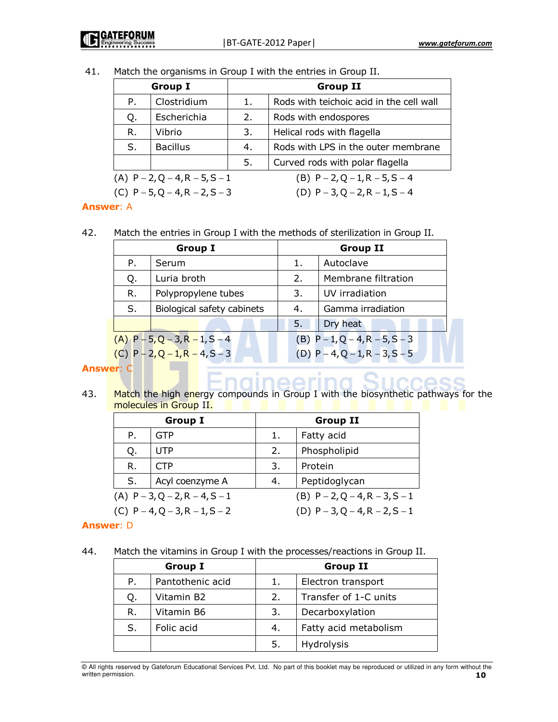GATEFORUM

41. Match the organisms in Group I with the entries in Group II.

|                                           | <b>Group I</b>                    |    | <b>Group II</b>                           |
|-------------------------------------------|-----------------------------------|----|-------------------------------------------|
| Ρ.                                        | Clostridium                       | 1. | Rods with teichoic acid in the cell wall  |
| Q.                                        | Escherichia                       | 2. | Rods with endospores                      |
| R.                                        | Vibrio                            | 3. | Helical rods with flagella                |
| S.                                        | <b>Bacillus</b>                   | 4. | Rods with LPS in the outer membrane       |
|                                           |                                   | 5. | Curved rods with polar flagella           |
| (A) $P - 2$ , $Q - 4$ , $R - 5$ , $S - 1$ |                                   |    | (B) $P - 2$ , $Q - 1$ , $R - 5$ , $S - 4$ |
|                                           | (C) $P - 5$ , Q – 4, R – 2, S – 3 |    | (D) $P - 3$ , Q $- 2$ , R $- 1$ , S $- 4$ |

#### Answer: A

42. Match the entries in Group I with the methods of sterilization in Group II.

|    | <b>Group I</b> |                                           |    | <b>Group II</b>                                                        |
|----|----------------|-------------------------------------------|----|------------------------------------------------------------------------|
|    | Ρ.             | Serum                                     |    | Autoclave                                                              |
| Q. |                | Luria broth                               | 2. | Membrane filtration                                                    |
| R. |                | Polypropylene tubes                       | 3. | UV irradiation                                                         |
| S. |                | Biological safety cabinets                | 4. | Gamma irradiation                                                      |
|    |                |                                           | 5. | Dry heat                                                               |
|    |                | $(A)$ P – 5, Q – 3, R – 1, S – 4          |    | (B) $P-1$ , $Q-4$ , $R-5$ , $S-3$<br>(D) $P-4$ , $Q-1$ , $R-3$ , $S-5$ |
|    |                | (C) $P - 2$ , $Q - 1$ , $R - 4$ , $S - 3$ |    |                                                                        |

## **Answer:**

43. Match the high energy compounds in Group I with the biosynthetic pathways for the molecules in Group II.

|                                           | <b>Group I</b>  |    | <b>Group II</b>                   |
|-------------------------------------------|-----------------|----|-----------------------------------|
| Ρ.                                        | GTP             | 1. | Fatty acid                        |
| Q.                                        | <b>UTP</b>      | 2. | Phospholipid                      |
| R.                                        | <b>CTP</b>      | 3. | Protein                           |
| S.                                        | Acyl coenzyme A | 4. | Peptidoglycan                     |
| (A) $P - 3$ , Q – 2, R – 4, S – 1         |                 |    | (B) $P - 2$ , Q – 4, R – 3, S – 1 |
| (C) $P - 4$ , $Q - 3$ , $R - 1$ , $S - 2$ |                 |    | (D) $P - 3$ , Q – 4, R – 2, S – 1 |

#### Answer: D

44. Match the vitamins in Group I with the processes/reactions in Group II.

|    | <b>Group I</b>   |    | <b>Group II</b>       |
|----|------------------|----|-----------------------|
| P. | Pantothenic acid | 1. | Electron transport    |
| Q. | Vitamin B2       | 2. | Transfer of 1-C units |
| R. | Vitamin B6       | 3. | Decarboxylation       |
| S. | Folic acid       | 4. | Fatty acid metabolism |
|    |                  | 5. | Hydrolysis            |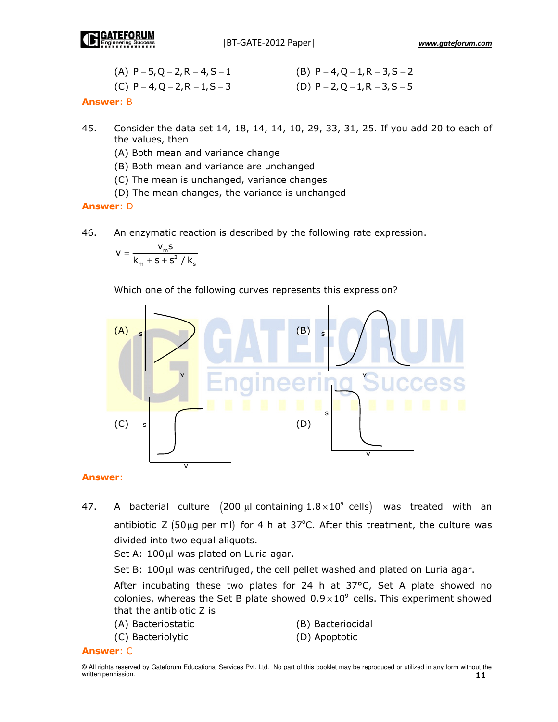| (A) $P - 5$ , Q $- 2$ , R $- 4$ , S $- 1$ | (B) $P - 4$ , Q $- 1$ , R $- 3$ , S $- 2$ |
|-------------------------------------------|-------------------------------------------|
| (C) $P - 4$ , Q – 2, R – 1, S – 3         | (D) $P - 2$ , $Q - 1$ , $R - 3$ , $S - 5$ |

#### Answer: B

- 45. Consider the data set 14, 18, 14, 14, 10, 29, 33, 31, 25. If you add 20 to each of the values, then
	- (A) Both mean and variance change
	- (B) Both mean and variance are unchanged
	- (C) The mean is unchanged, variance changes
	- (D) The mean changes, the variance is unchanged

#### Answer: D

46. An enzymatic reaction is described by the following rate expression.

$$
v = \frac{v_m s}{k_m + s + s^2 / k_s}
$$

Which one of the following curves represents this expression?



#### Answer:

47. A bacterial culture  $(200 \text{ µl}$  containing  $1.8\times10^9$  cells) was treated with an antibiotic Z (50 µg per ml) for 4 h at 37 $^{\circ}$ C. After this treatment, the culture was divided into two equal aliquots.

Set A:  $100 \mu l$  was plated on Luria agar.

Set B:  $100 \mu l$  was centrifuged, the cell pellet washed and plated on Luria agar.

 After incubating these two plates for 24 h at 37°C, Set A plate showed no colonies, whereas the Set B plate showed  $0.9 \times 10^9$  cells. This experiment showed that the antibiotic Z is

- (A) Bacteriostatic (B) Bacteriocidal
- 
- 
- (C) Bacteriolytic (D) Apoptotic

#### Answer: C

<sup>©</sup> All rights reserved by Gateforum Educational Services Pvt. Ltd. No part of this booklet may be reproduced or utilized in any form without the written permission.  $11$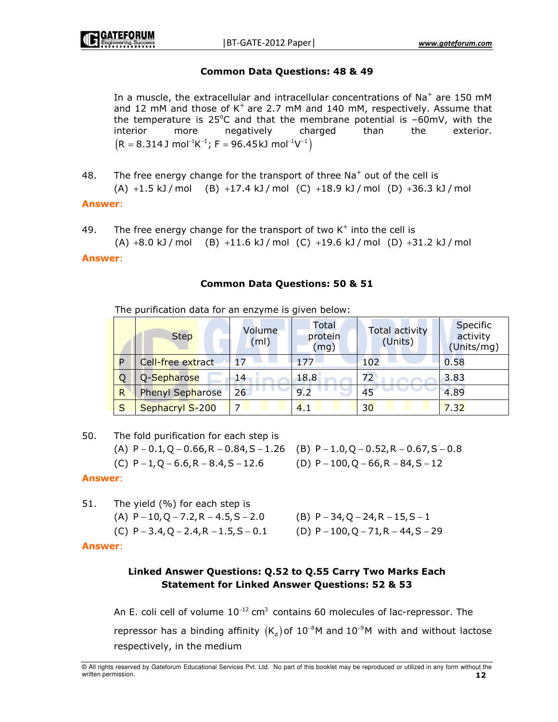#### Common Data Questions: 48 & 49

In a muscle, the extracellular and intracellular concentrations of  $\text{Na}^+$  are 150 mM and 12 mM and those of  $K^+$  are 2.7 mM and 140 mM, respectively. Assume that the temperature is  $25^{\circ}$ C and that the membrane potential is  $-60$ mV, with the interior more negatively charged than the exterior.  $(R = 8.314 \text{ J mol}^{-1} \text{K}^{-1}; F = 96.45 \text{ kJ mol}^{-1} \text{V}^{-1})$ 

48. The free energy change for the transport of three Na<sup>+</sup> out of the cell is  $(A) +1.5$  kJ / mol (B)  $+17.4$  kJ / mol (C)  $+18.9$  kJ / mol (D)  $+36.3$  kJ / mol

#### Answer:

49. The free energy change for the transport of two  $K^+$  into the cell is

 $(A) +8.0$  kJ / mol  $(B) +11.6$  kJ / mol  $(C) +19.6$  kJ / mol  $(D) +31.2$  kJ / mol

#### Answer:

#### Common Data Questions: 50 & 51

The purification data for an enzyme is given below:

|              | <b>Step</b>             | Volume<br>(m <sub>l</sub> ) | Total<br>protein<br>(mg) | <b>Total activity</b><br>(Units) | <b>Specific</b><br>activity<br>(Units/mg) |
|--------------|-------------------------|-----------------------------|--------------------------|----------------------------------|-------------------------------------------|
| D            | Cell-free extract       | 17                          | 177                      | 102                              | 0.58                                      |
|              | Q-Sepharose             | 14                          | 18.8                     | 72                               | 3.83                                      |
| $\mathsf{R}$ | <b>Phenyl Sepharose</b> | 26                          | 9.2                      | 45                               | 4.89                                      |
| S            | Sephacryl S-200         | 7                           | 4.1                      | 30                               | 7.32                                      |

50. The fold purification for each step is

 $(A)$  P  $-0.1$ , Q  $-0.66$ , R  $-0.84$ , S  $-1.26$   $(B)$  P  $-1.0$ , Q  $-0.52$ , R  $-0.67$ , S  $-0.8$ (C)  $P - 1$ , Q – 6.6, R – 8.4, S – 12.6 (D)  $P - 100$ , Q – 66, R – 84, S – 12

#### Answer:

- 51. The yield (%) for each step is (A)  $P - 10$ ,  $Q - 7.2$ ,  $R - 4.5$ ,  $S - 2.0$  (B)  $P - 34$ ,  $Q - 24$ ,  $R - 15$ ,  $S - 1$ 
	-
	- (C)  $P 3.4$ ,  $Q 2.4$ ,  $R 1.5$ ,  $S 0.1$  (D)  $P 100$ ,  $Q 71$ ,  $R 44$ ,  $S 29$

Answer:

## Linked Answer Questions: Q.52 to Q.55 Carry Two Marks Each Statement for Linked Answer Questions: 52 & 53

An E. coli cell of volume  $10^{-12}$  cm<sup>3</sup> contains 60 molecules of lac-repressor. The repressor has a binding affinity  $(K_d)$  of  $10^{-8}$ M and  $10^{-9}$ M with and without lactose respectively, in the medium

<sup>©</sup> All rights reserved by Gateforum Educational Services Pvt. Ltd. No part of this booklet may be reproduced or utilized in any form without the written permission.  $12$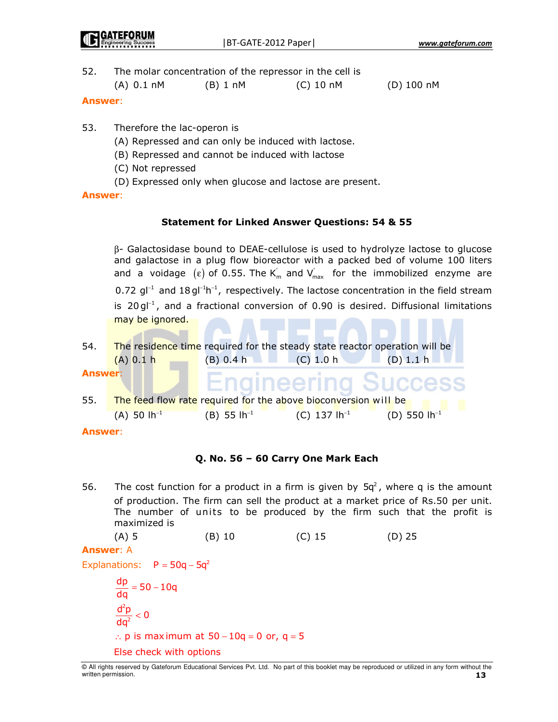| 52. |  | The molar concentration of the repressor in the cell is |  |  |  |  |  |
|-----|--|---------------------------------------------------------|--|--|--|--|--|
|-----|--|---------------------------------------------------------|--|--|--|--|--|

|  | $(A)$ 0.1 nM | $(B)$ 1 nM | (C) 10 nM | $(D)$ 100 nM |
|--|--------------|------------|-----------|--------------|
|--|--------------|------------|-----------|--------------|

#### Answer:

- 53. Therefore the lac-operon is
	- (A) Repressed and can only be induced with lactose.
	- (B) Repressed and cannot be induced with lactose
	- (C) Not repressed
	- (D) Expressed only when glucose and lactose are present.

#### Answer:

#### Statement for Linked Answer Questions: 54 & 55

β- Galactosidase bound to DEAE-cellulose is used to hydrolyze lactose to glucose and galactose in a plug flow bioreactor with a packed bed of volume 100 liters and a voidage  $(\epsilon)$  of 0.55. The K $_{\rm m}$  and V $_{\rm max}^{\prime}$  for the immobilized enzyme are 0.72 gl<sup>-1</sup> and 18 gl<sup>-1</sup>h<sup>-1</sup>, respectively. The lactose concentration in the field stream is 20 gl<sup>−1</sup>, and a fractional conversion of 0.90 is desired. Diffusional limitations may be ignored.

- 54. The residence time required for the steady state reactor operation will be  $(A)$  0.1 h (B) 0.4 h (C) 1.0 h (D) 1.1 h
- Answer:
- 55. The feed flow rate required for the above bioconversion will be  $(A)$  50 lh<sup>-1</sup>  $(B)$  55 lh<sup>-1</sup> (C)  $137 \text{ lh}^{-1}$  $(D)$  550 lh<sup>-1</sup>

#### Answer:

## Q. No. 56 – 60 Carry One Mark Each

IEA I

56. The cost function for a product in a firm is given by  $5q^2$ , where q is the amount of production. The firm can sell the product at a market price of Rs.50 per unit. The number of units to be produced by the firm such that the profit is maximized is

(A) 5 (B) 10 (C) 15 (D) 25

## Answer: A

Explanations:  $P = 50q - 5q^2$ 2  $\frac{d^2p}{da^2} < 0$  $\frac{\text{dp}}{\text{dq}}$  = 50 – 10q  $\frac{dP}{dq^2}$  $\therefore$  p is maximum at 50 - 10q = 0 or, q = 5 Else check with options

<sup>©</sup> All rights reserved by Gateforum Educational Services Pvt. Ltd. No part of this booklet may be reproduced or utilized in any form without the written permission. 13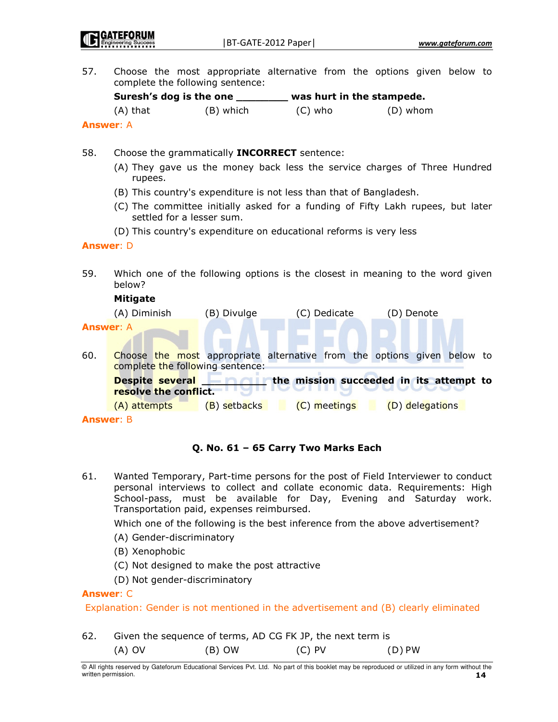57. Choose the most appropriate alternative from the options given below to complete the following sentence:

Suresh's dog is the one \_\_\_\_\_\_\_\_ was hurt in the stampede.

 $(A)$  that  $(B)$  which  $(C)$  who  $(D)$  whom

Answer: A

- 58. Choose the grammatically **INCORRECT** sentence:
	- (A) They gave us the money back less the service charges of Three Hundred rupees.
	- (B) This country's expenditure is not less than that of Bangladesh.
	- (C) The committee initially asked for a funding of Fifty Lakh rupees, but later settled for a lesser sum.
	- (D) This country's expenditure on educational reforms is very less

#### Answer: D

59. Which one of the following options is the closest in meaning to the word given below? Mitigate

|                                                                   | Millyale                         |              |                                                                         |                 |  |  |  |
|-------------------------------------------------------------------|----------------------------------|--------------|-------------------------------------------------------------------------|-----------------|--|--|--|
|                                                                   | (A) Diminish                     | (B) Divulge  | (C) Dedicate                                                            | (D) Denote      |  |  |  |
| <b>Answer: A</b>                                                  |                                  |              |                                                                         |                 |  |  |  |
|                                                                   |                                  |              |                                                                         |                 |  |  |  |
| 60.                                                               | complete the following sentence: |              | Choose the most appropriate alternative from the options given below to |                 |  |  |  |
|                                                                   |                                  |              |                                                                         |                 |  |  |  |
| the mission succeeded in its attempt to<br><b>Despite several</b> |                                  |              |                                                                         |                 |  |  |  |
|                                                                   | resolve the conflict.            |              |                                                                         |                 |  |  |  |
|                                                                   | (A) attempts                     | (B) setbacks | (C) meetings                                                            | (D) delegations |  |  |  |
| <b>Answer: B</b>                                                  |                                  |              |                                                                         |                 |  |  |  |

# Q. No. 61 – 65 Carry Two Marks Each

61. Wanted Temporary, Part-time persons for the post of Field Interviewer to conduct personal interviews to collect and collate economic data. Requirements: High School-pass, must be available for Day, Evening and Saturday work. Transportation paid, expenses reimbursed.

Which one of the following is the best inference from the above advertisement?

- (A) Gender-discriminatory
- (B) Xenophobic
- (C) Not designed to make the post attractive
- (D) Not gender-discriminatory

#### Answer: C

Explanation: Gender is not mentioned in the advertisement and (B) clearly eliminated

62. Given the sequence of terms, AD CG FK JP, the next term is (A) OV  $(B)$  OW  $(C)$  PV  $(D)$  PW

<sup>©</sup> All rights reserved by Gateforum Educational Services Pvt. Ltd. No part of this booklet may be reproduced or utilized in any form without the written permission. **14**